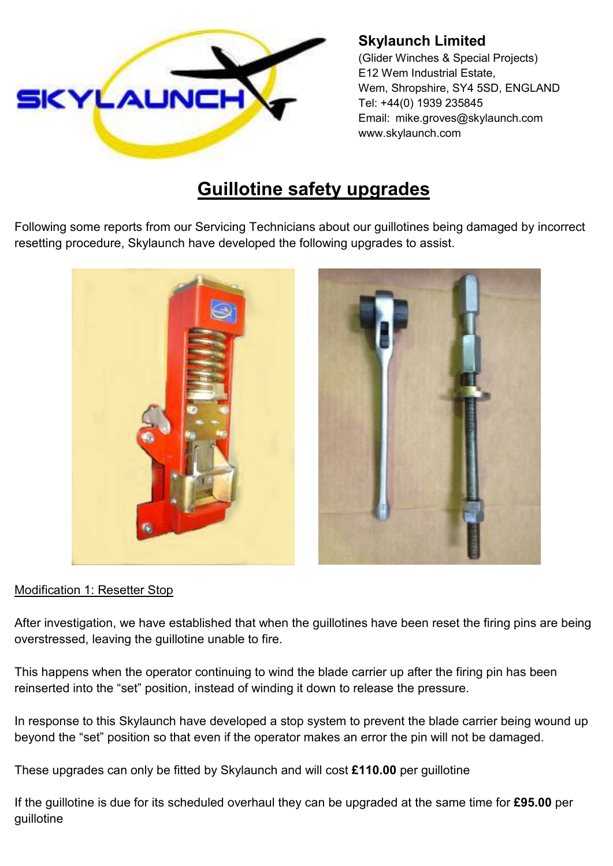

## **Skylaunch Limited**

(Glider Winches & Special Projects) E12 Wem Industrial Estate, Wem, Shropshire, SY4 5SD, ENGLAND Tel: +44(0) 1939 235845 Email: mike.groves@skylaunch.com www.skylaunch.com

## **Guillotine safety upgrades**

Following some reports from our Servicing Technicians about our guillotines being damaged by incorrect resetting procedure, Skylaunch have developed the following upgrades to assist.



## Modification 1: Resetter Stop

After investigation, we have established that when the guillotines have been reset the firing pins are being overstressed, leaving the guillotine unable to fire.

This happens when the operator continuing to wind the blade carrier up after the firing pin has been reinserted into the "set" position, instead of winding it down to release the pressure.

In response to this Skylaunch have developed a stop system to prevent the blade carrier being wound up beyond the "set" position so that even if the operator makes an error the pin will not be damaged.

These upgrades can only be fitted by Skylaunch and will cost **£110.00** per guillotine

If the guillotine is due for its scheduled overhaul they can be upgraded at the same time for **£95.00** per guillotine